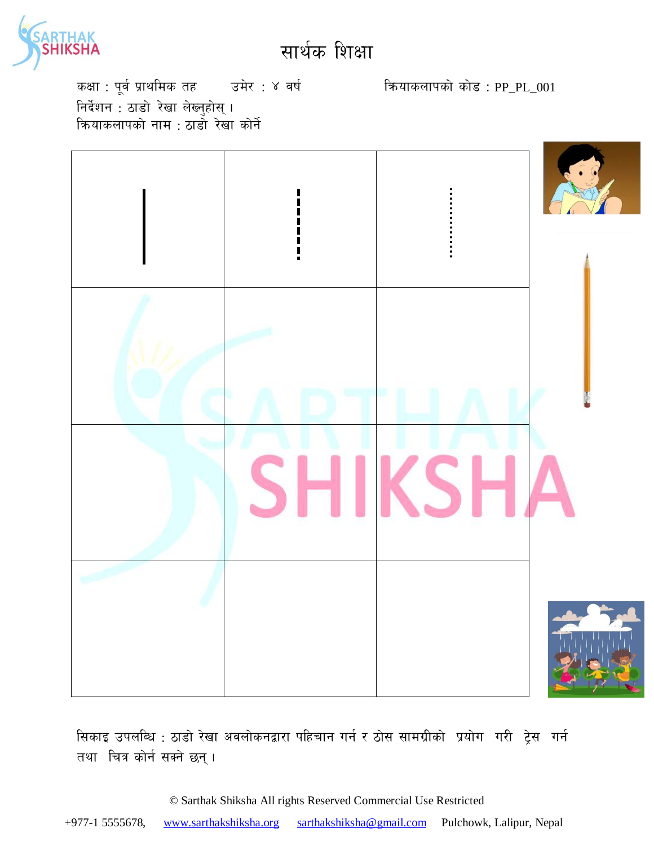

कक्षा : पूर्व प्राथमिक तह जिसेर : ४ वर्ष स्वर्ग को कोड़ : PP\_PL\_001 निर्देशन : ठाडो रेखा लेख्नुहोस् । क्रियाकलापको नाम $\, \cdot \,$ ठाडो रेखा कोर्ने



सिकाइ उपलब्धि : ठाडो रेखा अवलोकनद्वारा पहिचान गर्न र ठोस सामग्रीको प्रयोग गरी ट्रेस गर्न तथा चित्र कोर्न सक्ने छन्।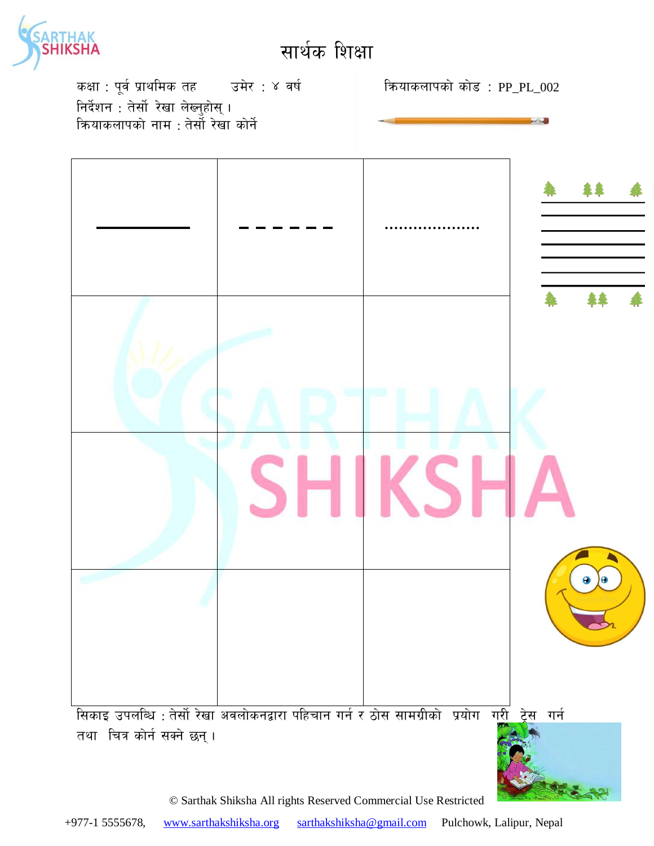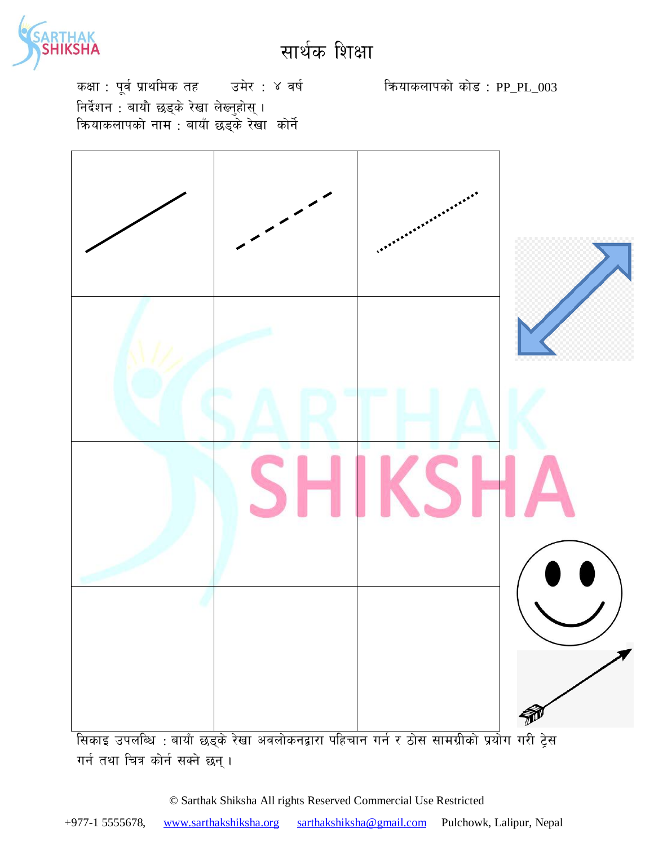

कक्षा : पूर्व प्राथमिक तह उमेर : ४ वर्ष कियाकलापको कोड : PP\_PL\_003 निर्देशन : बायौ छड्के रेखा लेख्नुहोस् । कियाकलापको नाम : बायाँ छड़के रेखा कोर्ने



गर्न तथा चित्र कोर्न सक्ने छन्।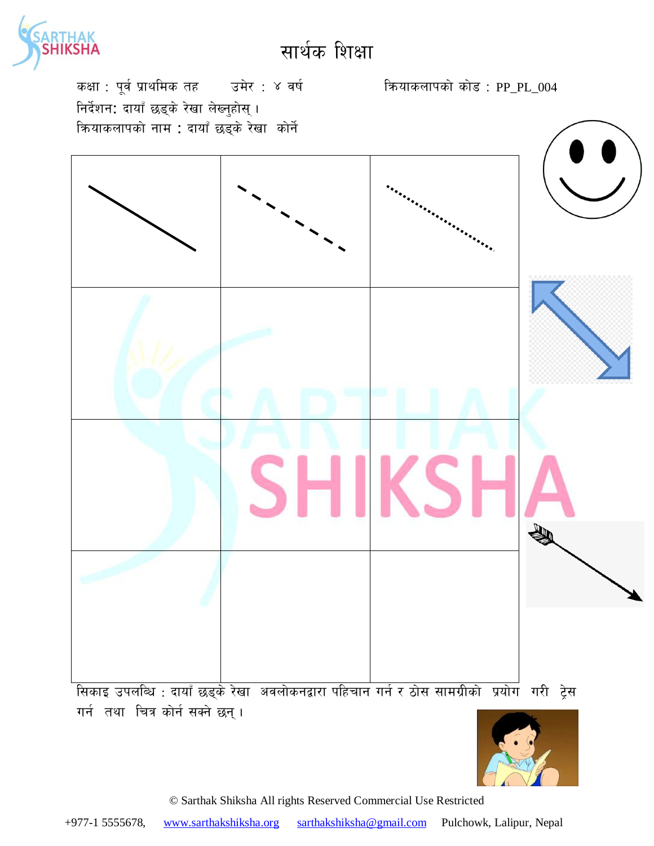

कक्षा : पूर्व प्राथमिक तह उमेर : ४ वर्ष कियाकलापको कोड : PP\_PL\_004 निर्देशन: दायाँ छड्के रेखा लेख्नुहोस् । क्रियाकलापको नाम : दायाँ छड्के रेखा कोर्ने

<u>सिकाइ उपलब्धि : दायाँ छड्के रेखा अवलोकनद्वारा पहिचान गर्न र ठोस सामग्रीको प्रयोग गरी ट्रेस</u> गर्न तथा चित्र कोर्न सक्ने छन् ।

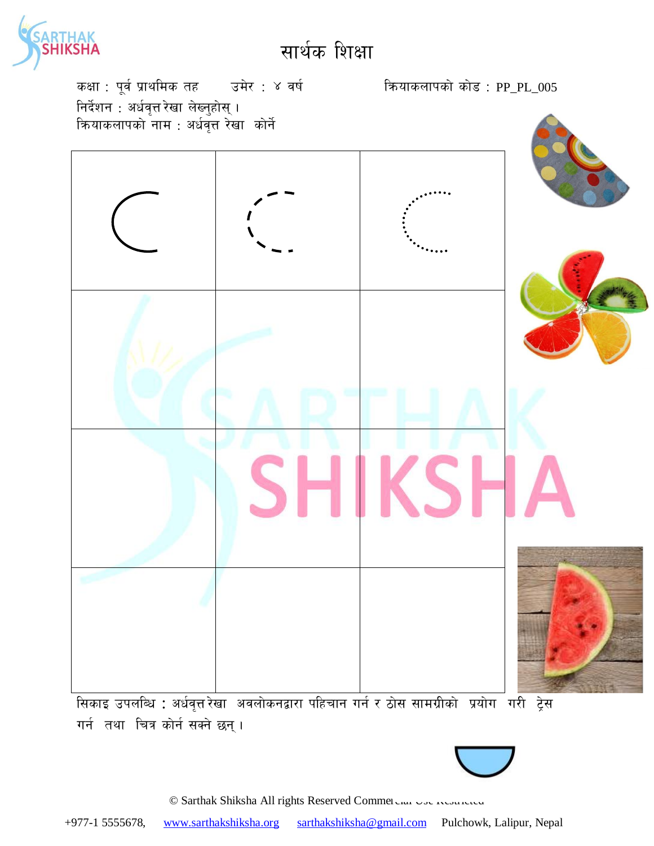

कक्षा : पूर्व प्राथमिक तह जिसेर : ४ वर्ष स्वर्ग को अधिकलापको कोड : PP\_PL\_005 निर्देशन $\,$  : अर्धवृत्त रेखा लेख्नुहोस् । कियाकलापको नाम : अर्धवृत्त रेखा कोर्ने



गर्न तथा चित्र कोर्न सक्ने छन्।

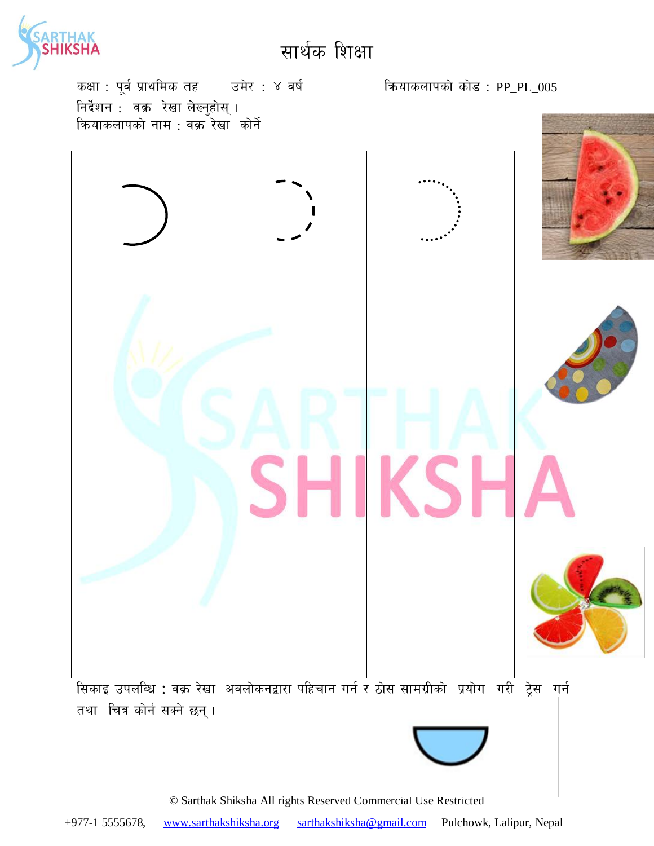

कक्षा : पूर्व प्राथमिक तह जिसेर : ४ वर्ष स्वर्ग को अधिकलापको कोड : PP\_PL\_005 निर्देशन : वक्र रेखा लेख्नुहोस् । क्रियाकलापको नाम $\cdot$  वक्र रेखा $\,$  कोर्ने